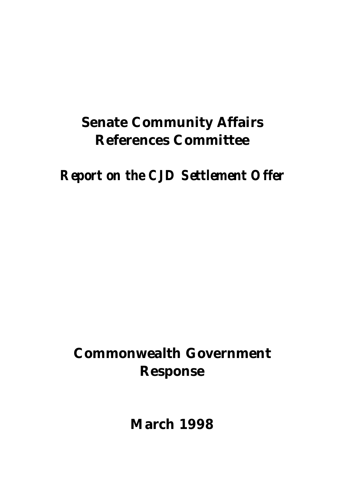# **Senate Community Affairs References Committee**

*Report on the CJD Settlement Offer*

# **Commonwealth Government Response**

**March 1998**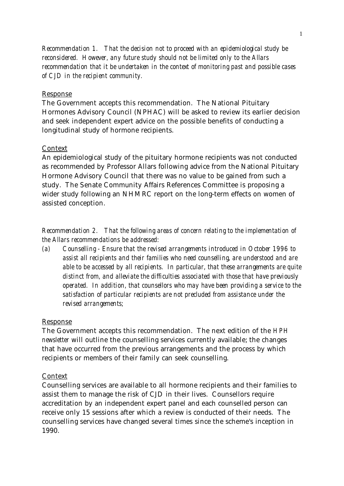*Recommendation 1. That the decision not to proceed with an epidemiological study be reconsidered. However, any future study should not be limited only to the Allars recommendation that it be undertaken in the context of monitoring past and possible cases of CJD in the recipient community.*

#### Response

The Government accepts this recommendation. The National Pituitary Hormones Advisory Council (NPHAC) will be asked to review its earlier decision and seek independent expert advice on the possible benefits of conducting a longitudinal study of hormone recipients.

# **Context**

An epidemiological study of the pituitary hormone recipients was not conducted as recommended by Professor Allars following advice from the National Pituitary Hormone Advisory Council that there was no value to be gained from such a study. The Senate Community Affairs References Committee is proposing a wider study following an NHMRC report on the long-term effects on women of assisted conception.

*Recommendation 2. That the following areas of concern relating to the implementation of the Allars recommendations be addressed:*

*(a) Counselling - Ensure that the revised arrangements introduced in October 1996 to assist all recipients and their families who need counselling, are understood and are able to be accessed by all recipients. In particular, that these arrangements are quite distinct from, and alleviate the difficulties associated with those that have previously operated. In addition, that counsellors who may have been providing a service to the satisfaction of particular recipients are not precluded from assistance under the revised arrangements;*

#### Response

The Government accepts this recommendation. The next edition of the *HPH newsletter* will outline the counselling services currently available; the changes that have occurred from the previous arrangements and the process by which recipients or members of their family can seek counselling.

# Context

Counselling services are available to all hormone recipients and their families to assist them to manage the risk of CJD in their lives. Counsellors require accreditation by an independent expert panel and each counselled person can receive only 15 sessions after which a review is conducted of their needs. The counselling services have changed several times since the scheme's inception in 1990.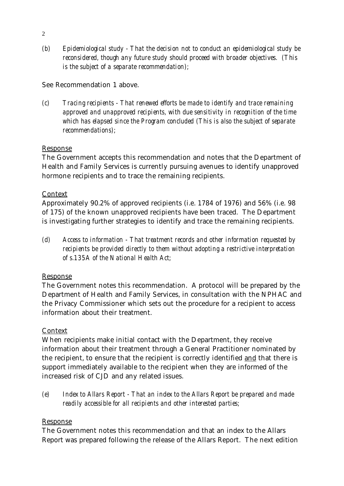*(b) Epidemiological study - That the decision not to conduct an epidemiological study be reconsidered, though any future study should proceed with broader objectives. (This is the subject of a separate recommendation);*

# See Recommendation 1 above.

*(c) Tracing recipients - That renewed efforts be made to identify and trace remaining approved and unapproved recipients, with due sensitivity in recognition of the time which has elapsed since the Program concluded (This is also the subject of separate recommendations);*

# Response

The Government accepts this recommendation and notes that the Department of Health and Family Services is currently pursuing avenues to identify unapproved hormone recipients and to trace the remaining recipients.

# Context

Approximately 90.2% of approved recipients (i.e. 1784 of 1976) and 56% (i.e. 98 of 175) of the known unapproved recipients have been traced. The Department is investigating further strategies to identify and trace the remaining recipients.

*(d) Access to information - That treatment records and other information requested by recipients be provided directly to them without adopting a restrictive interpretation of s.135A of the National Health Act;*

# Response

The Government notes this recommendation. A protocol will be prepared by the Department of Health and Family Services, in consultation with the NPHAC and the Privacy Commissioner which sets out the procedure for a recipient to access information about their treatment.

# Context

When recipients make initial contact with the Department, they receive information about their treatment through a General Practitioner nominated by the recipient, to ensure that the recipient is correctly identified and that there is support immediately available to the recipient when they are informed of the increased risk of CJD and any related issues.

*(e) Index to Allars Report - That an index to the Allars Report be prepared and made readily accessible for all recipients and other interested parties;*

# Response

The Government notes this recommendation and that an index to the Allars Report was prepared following the release of the Allars Report. The next edition

2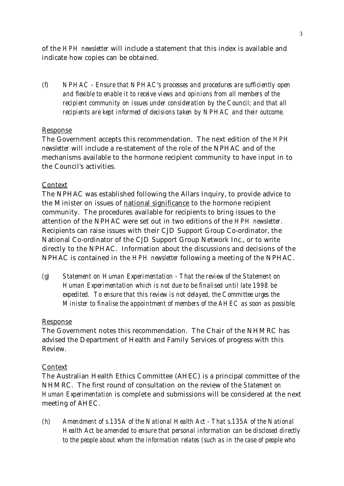of the *HPH newsletter* will include a statement that this index is available and indicate how copies can be obtained.

*(f) NPHAC - Ensure that NPHAC's processes and procedures are sufficiently open and flexible to enable it to receive views and opinions from all members of the recipient community on issues under consideration by the Council; and that all recipients are kept informed of decisions taken by NPHAC and their outcome.*

# Response

The Government accepts this recommendation. The next edition of the *HPH newsletter* will include a re-statement of the role of the NPHAC and of the mechanisms available to the hormone recipient community to have input in to the Council's activities.

#### Context

The NPHAC was established following the Allars Inquiry, to provide advice to the Minister on issues of national significance to the hormone recipient community. The procedures available for recipients to bring issues to the attention of the NPHAC were set out in two editions of the *HPH newsletter*. Recipients can raise issues with their CJD Support Group Co-ordinator, the National Co-ordinator of the CJD Support Group Network Inc., or to write directly to the NPHAC. Information about the discussions and decisions of the NPHAC is contained in the *HPH newsletter* following a meeting of the NPHAC.

*(g) Statement on Human Experimentation - That the review of the Statement on Human Experimentation which is not due to be finalised until late 1998 be expedited. To ensure that this review is not delayed, the Committee urges the Minister to finalise the appointment of members of the AHEC as soon as possible;*

# Response

The Government notes this recommendation. The Chair of the NHMRC has advised the Department of Health and Family Services of progress with this Review.

#### Context

The Australian Health Ethics Committee (AHEC) is a principal committee of the NHMRC. The first round of consultation on the review of the *Statement on Human Experimentation* is complete and submissions will be considered at the next meeting of AHEC.

*(h) Amendment of s.135A of the National Health Act - That s.135A of the National Health Act be amended to ensure that personal information can be disclosed directly to the people about whom the information relates (such as in the case of people who*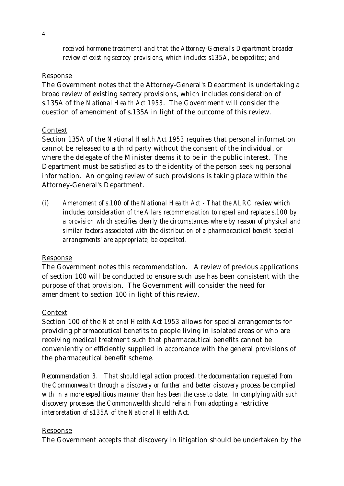*received hormone treatment) and that the Attorney-General's Department broader review of existing secrecy provisions, which includes s135A, be expedited; and*

#### Response

The Government notes that the Attorney-General's Department is undertaking a broad review of existing secrecy provisions, which includes consideration of s.135A of the *National Health Act 1953*. The Government will consider the question of amendment of s.135A in light of the outcome of this review.

# Context

Section 135A of the *National Health Act 1953* requires that personal information cannot be released to a third party without the consent of the individual, or where the delegate of the Minister deems it to be in the public interest. The Department must be satisfied as to the identity of the person seeking personal information. An ongoing review of such provisions is taking place within the Attorney-General's Department.

*(i) Amendment of s.100 of the National Health Act - That the ALRC review which includes consideration of the Allars recommendation to repeal and replace s.100 by a provision which specifies clearly the circumstances where by reason of physical and similar factors associated with the distribution of a pharmaceutical benefit 'special arrangements' are appropriate, be expedited.*

# Response

The Government notes this recommendation. A review of previous applications of section 100 will be conducted to ensure such use has been consistent with the purpose of that provision. The Government will consider the need for amendment to section 100 in light of this review.

# Context

Section 100 of the *National Health Act 1953* allows for special arrangements for providing pharmaceutical benefits to people living in isolated areas or who are receiving medical treatment such that pharmaceutical benefits cannot be conveniently or efficiently supplied in accordance with the general provisions of the pharmaceutical benefit scheme.

*Recommendation 3. That should legal action proceed, the documentation requested from the Commonwealth through a discovery or further and better discovery process be complied with in a more expeditious manner than has been the case to date. In complying with such discovery processes the Commonwealth should refrain from adopting a restrictive interpretation of s135A of the National Health Act.*

# Response

The Government accepts that discovery in litigation should be undertaken by the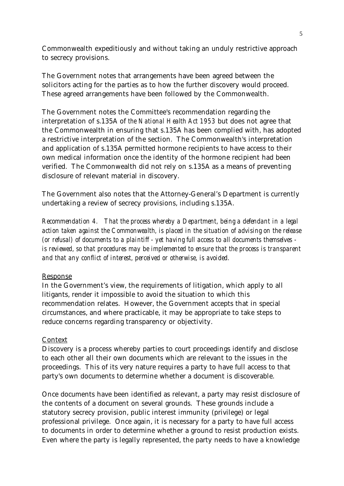Commonwealth expeditiously and without taking an unduly restrictive approach to secrecy provisions.

The Government notes that arrangements have been agreed between the solicitors acting for the parties as to how the further discovery would proceed. These agreed arrangements have been followed by the Commonwealth.

The Government notes the Committee's recommendation regarding the interpretation of s.135A of *the National Health Act 1953* but does not agree that the Commonwealth in ensuring that s.135A has been complied with, has adopted a restrictive interpretation of the section. The Commonwealth's interpretation and application of s.135A permitted hormone recipients to have access to their own medical information once the identity of the hormone recipient had been verified. The Commonwealth did not rely on s.135A as a means of preventing disclosure of relevant material in discovery.

The Government also notes that the Attorney-General's Department is currently undertaking a review of secrecy provisions, including s.135A.

*Recommendation 4. That the process whereby a Department, being a defendant in a legal action taken against the Commonwealth, is placed in the situation of advising on the release (or refusal) of documents to a plaintiff - yet having full access to all documents themselves is reviewed, so that procedures may be implemented to ensure that the process is transparent and that any conflict of interest, perceived or otherwise, is avoided.*

# Response

In the Government's view, the requirements of litigation, which apply to all litigants, render it impossible to avoid the situation to which this recommendation relates. However, the Government accepts that in special circumstances, and where practicable, it may be appropriate to take steps to reduce concerns regarding transparency or objectivity.

# Context

Discovery is a process whereby parties to court proceedings identify and disclose to each other all their own documents which are relevant to the issues in the proceedings. This of its very nature requires a party to have full access to that party's own documents to determine whether a document is discoverable.

Once documents have been identified as relevant, a party may resist disclosure of the contents of a document on several grounds. These grounds include a statutory secrecy provision, public interest immunity (privilege) or legal professional privilege. Once again, it is necessary for a party to have full access to documents in order to determine whether a ground to resist production exists. Even where the party is legally represented, the party needs to have a knowledge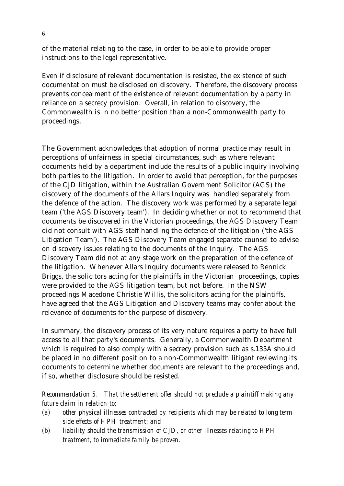of the material relating to the case, in order to be able to provide proper instructions to the legal representative.

Even if disclosure of relevant documentation is resisted, the existence of such documentation must be disclosed on discovery. Therefore, the discovery process prevents concealment of the existence of relevant documentation by a party in reliance on a secrecy provision. Overall, in relation to discovery, the Commonwealth is in no better position than a non-Commonwealth party to proceedings.

The Government acknowledges that adoption of normal practice may result in perceptions of unfairness in special circumstances, such as where relevant documents held by a department include the results of a public inquiry involving both parties to the litigation. In order to avoid that perception, for the purposes of the CJD litigation, within the Australian Government Solicitor (AGS) the discovery of the documents of the Allars Inquiry was handled separately from the defence of the action. The discovery work was performed by a separate legal team ('the AGS Discovery team'). In deciding whether or not to recommend that documents be discovered in the Victorian proceedings, the AGS Discovery Team did not consult with AGS staff handling the defence of the litigation ('the AGS Litigation Team'). The AGS Discovery Team engaged separate counsel to advise on discovery issues relating to the documents of the Inquiry. The AGS Discovery Team did not at any stage work on the preparation of the defence of the litigation. Whenever Allars Inquiry documents were released to Rennick Briggs, the solicitors acting for the plaintiffs in the Victorian proceedings, copies were provided to the AGS litigation team, but not before. In the NSW proceedings Macedone Christie Willis, the solicitors acting for the plaintiffs, have agreed that the AGS Litigation and Discovery teams may confer about the relevance of documents for the purpose of discovery.

In summary, the discovery process of its very nature requires a party to have full access to all that party's documents. Generally, a Commonwealth Department which is required to also comply with a secrecy provision such as s.135A should be placed in no different position to a non-Commonwealth litigant reviewing its documents to determine whether documents are relevant to the proceedings and, if so, whether disclosure should be resisted.

*Recommendation 5. That the settlement offer should not preclude a plaintiff making any future claim in relation to:*

- *(a) other physical illnesses contracted by recipients which may be related to long term side effects of HPH treatment; and*
- *(b) liability should the transmission of CJD, or other illnesses relating to HPH treatment, to immediate family be proven.*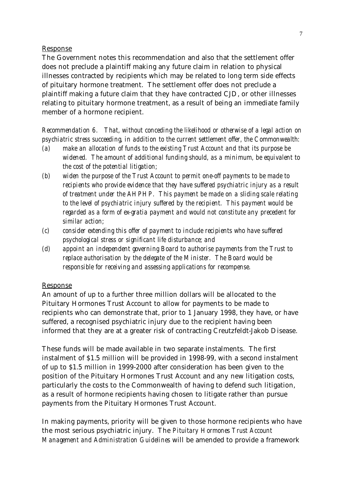#### Response

The Government notes this recommendation and also that the settlement offer does not preclude a plaintiff making any future claim in relation to physical illnesses contracted by recipients which may be related to long term side effects of pituitary hormone treatment. The settlement offer does not preclude a plaintiff making a future claim that they have contracted CJD, or other illnesses relating to pituitary hormone treatment, as a result of being an immediate family member of a hormone recipient.

*Recommendation 6. That, without conceding the likelihood or otherwise of a legal action on psychiatric stress succeeding, in addition to the current settlement offer, the Commonwealth:*

- *(a) make an allocation of funds to the existing Trust Account and that its purpose be widened. The amount of additional funding should, as a minimum, be equivalent to the cost of the potential litigation;*
- *(b) widen the purpose of the Trust Account to permit one-off payments to be made to recipients who provide evidence that they have suffered psychiatric injury as a result of treatment under the AHPHP. This payment be made on a sliding scale relating to the level of psychiatric injury suffered by the recipient. This payment would be regarded as a form of ex-gratia payment and would not constitute any precedent for similar action;*
- *(c) consider extending this offer of payment to include recipients who have suffered psychological stress or significant life disturbance; and*
- *(d) appoint an independent governing Board to authorise payments from the Trust to replace authorisation by the delegate of the Minister. The Board would be responsible for receiving and assessing applications for recompense.*

# Response

An amount of up to a further three million dollars will be allocated to the Pituitary Hormones Trust Account to allow for payments to be made to recipients who can demonstrate that, prior to 1 January 1998, they have, or have suffered, a recognised psychiatric injury due to the recipient having been informed that they are at a greater risk of contracting Creutzfeldt-Jakob Disease.

These funds will be made available in two separate instalments. The first instalment of \$1.5 million will be provided in 1998-99, with a second instalment of up to \$1.5 million in 1999-2000 after consideration has been given to the position of the Pituitary Hormones Trust Account and any new litigation costs, particularly the costs to the Commonwealth of having to defend such litigation, as a result of hormone recipients having chosen to litigate rather than pursue payments from the Pituitary Hormones Trust Account.

In making payments, priority will be given to those hormone recipients who have the most serious psychiatric injury. The *Pituitary Hormones Trust Account Management and Administration Guidelines* will be amended to provide a framework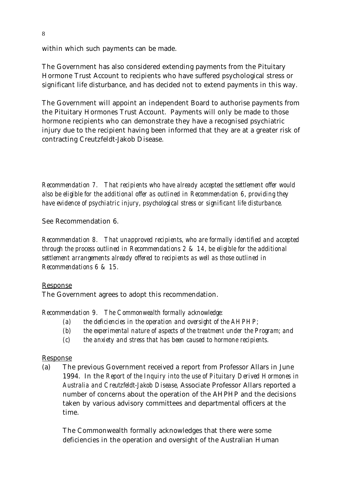within which such payments can be made.

The Government has also considered extending payments from the Pituitary Hormone Trust Account to recipients who have suffered psychological stress or significant life disturbance, and has decided not to extend payments in this way.

The Government will appoint an independent Board to authorise payments from the Pituitary Hormones Trust Account. Payments will only be made to those hormone recipients who can demonstrate they have a recognised psychiatric injury due to the recipient having been informed that they are at a greater risk of contracting Creutzfeldt-Jakob Disease.

*Recommendation 7. That recipients who have already accepted the settlement offer would also be eligible for the additional offer as outlined in Recommendation 6, providing they have evidence of psychiatric injury, psychological stress or significant life disturbance.*

See Recommendation 6.

*Recommendation 8. That unapproved recipients, who are formally identified and accepted through the process outlined in Recommendations 2 & 14, be eligible for the additional settlement arrangements already offered to recipients as well as those outlined in Recommendations 6 & 15.*

# Response

The Government agrees to adopt this recommendation.

*Recommendation 9. The Commonwealth formally acknowledge:*

- *(a) the deficiencies in the operation and oversight of the AHPHP;*
- *(b) the experimental nature of aspects of the treatment under the Program; and*
- *(c) the anxiety and stress that has been caused to hormone recipients.*

# Response

(a) The previous Government received a report from Professor Allars in June 1994. In the *Report of the Inquiry into the use of Pituitary Derived Hormones in Australia and Creutzfeldt-Jakob Disease,* Associate Professor Allars reported a number of concerns about the operation of the AHPHP and the decisions taken by various advisory committees and departmental officers at the time.

The Commonwealth formally acknowledges that there were some deficiencies in the operation and oversight of the Australian Human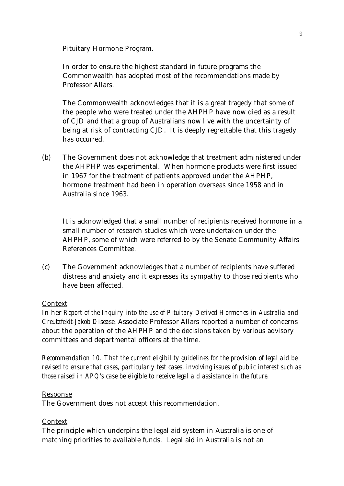Pituitary Hormone Program.

In order to ensure the highest standard in future programs the Commonwealth has adopted most of the recommendations made by Professor Allars.

The Commonwealth acknowledges that it is a great tragedy that some of the people who were treated under the AHPHP have now died as a result of CJD and that a group of Australians now live with the uncertainty of being at risk of contracting CJD. It is deeply regrettable that this tragedy has occurred.

(b) The Government does not acknowledge that treatment administered under the AHPHP was experimental. When hormone products were first issued in 1967 for the treatment of patients approved under the AHPHP, hormone treatment had been in operation overseas since 1958 and in Australia since 1963.

It is acknowledged that a small number of recipients received hormone in a small number of research studies which were undertaken under the AHPHP, some of which were referred to by the Senate Community Affairs References Committee.

(c) The Government acknowledges that a number of recipients have suffered distress and anxiety and it expresses its sympathy to those recipients who have been affected.

# Context

In her *Report of the Inquiry into the use of Pituitary Derived Hormones in Australia and Creutzfeldt-Jakob Disease,* Associate Professor Allars reported a number of concerns about the operation of the AHPHP and the decisions taken by various advisory committees and departmental officers at the time.

*Recommendation 10. That the current eligibility guidelines for the provision of legal aid be revised to ensure that cases, particularly test cases, involving issues of public interest such as those raised in APQ's case be eligible to receive legal aid assistance in the future.*

#### Response

The Government does not accept this recommendation.

#### Context

The principle which underpins the legal aid system in Australia is one of matching priorities to available funds. Legal aid in Australia is not an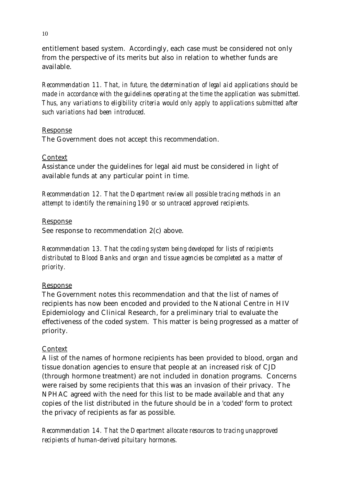entitlement based system. Accordingly, each case must be considered not only from the perspective of its merits but also in relation to whether funds are available.

*Recommendation 11. That, in future, the determination of legal aid applications should be made in accordance with the guidelines operating at the time the application was submitted. Thus, any variations to eligibility criteria would only apply to applications submitted after such variations had been introduced.*

# Response

The Government does not accept this recommendation.

# Context

Assistance under the guidelines for legal aid must be considered in light of available funds at any particular point in time.

*Recommendation 12. That the Department review all possible tracing methods in an attempt to identify the remaining 190 or so untraced approved recipients.*

# Response

See response to recommendation 2(c) above.

*Recommendation 13. That the coding system being developed for lists of recipients distributed to Blood Banks and organ and tissue agencies be completed as a matter of priority.*

# Response

The Government notes this recommendation and that the list of names of recipients has now been encoded and provided to the National Centre in HIV Epidemiology and Clinical Research, for a preliminary trial to evaluate the effectiveness of the coded system. This matter is being progressed as a matter of priority.

# **Context**

A list of the names of hormone recipients has been provided to blood, organ and tissue donation agencies to ensure that people at an increased risk of CJD (through hormone treatment) are not included in donation programs. Concerns were raised by some recipients that this was an invasion of their privacy. The NPHAC agreed with the need for this list to be made available and that any copies of the list distributed in the future should be in a 'coded' form to protect the privacy of recipients as far as possible.

*Recommendation 14. That the Department allocate resources to tracing unapproved recipients of human-derived pituitary hormones.*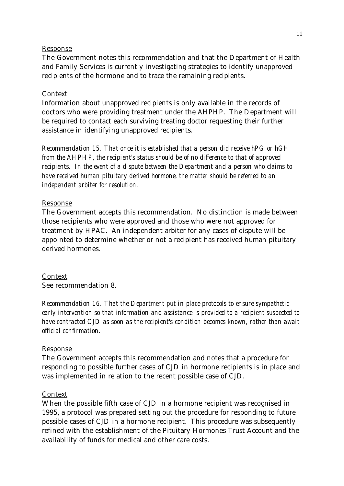#### Response

The Government notes this recommendation and that the Department of Health and Family Services is currently investigating strategies to identify unapproved recipients of the hormone and to trace the remaining recipients.

#### Context

Information about unapproved recipients is only available in the records of doctors who were providing treatment under the AHPHP. The Department will be required to contact each surviving treating doctor requesting their further assistance in identifying unapproved recipients.

*Recommendation 15. That once it is established that a person did receive hPG or hGH from the AHPHP, the recipient's status should be of no difference to that of approved recipients. In the event of a dispute between the Department and a person who claims to have received human pituitary derived hormone, the matter should be referred to an independent arbiter for resolution.*

#### Response

The Government accepts this recommendation. No distinction is made between those recipients who were approved and those who were not approved for treatment by HPAC. An independent arbiter for any cases of dispute will be appointed to determine whether or not a recipient has received human pituitary derived hormones.

#### Context

See recommendation 8.

*Recommendation 16. That the Department put in place protocols to ensure sympathetic early intervention so that information and assistance is provided to a recipient suspected to have contracted CJD as soon as the recipient's condition becomes known, rather than await official confirmation.*

#### Response

The Government accepts this recommendation and notes that a procedure for responding to possible further cases of CJD in hormone recipients is in place and was implemented in relation to the recent possible case of CJD.

#### Context

When the possible fifth case of CJD in a hormone recipient was recognised in 1995, a protocol was prepared setting out the procedure for responding to future possible cases of CJD in a hormone recipient. This procedure was subsequently refined with the establishment of the Pituitary Hormones Trust Account and the availability of funds for medical and other care costs.